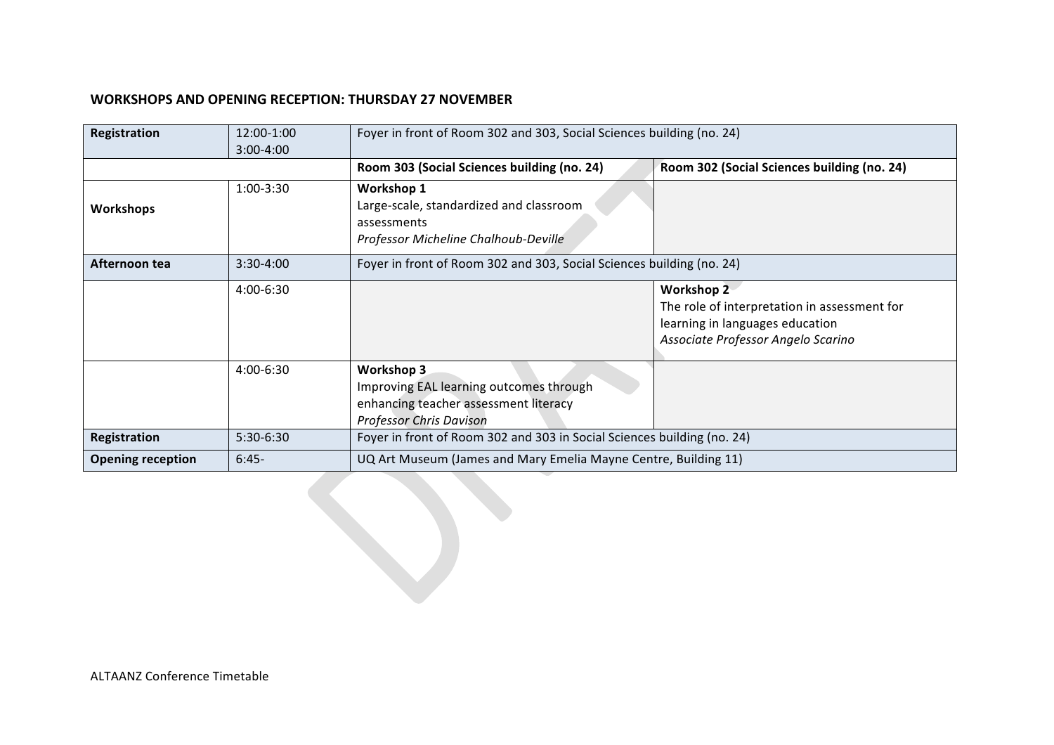## **WORKSHOPS AND OPENING RECEPTION: THURSDAY 27 NOVEMBER**

| Registration             | 12:00-1:00<br>3:00-4:00 | Foyer in front of Room 302 and 303, Social Sciences building (no. 24)                                                            |                                                                                                                                            |  |  |
|--------------------------|-------------------------|----------------------------------------------------------------------------------------------------------------------------------|--------------------------------------------------------------------------------------------------------------------------------------------|--|--|
|                          |                         | Room 303 (Social Sciences building (no. 24)                                                                                      | Room 302 (Social Sciences building (no. 24)                                                                                                |  |  |
| <b>Workshops</b>         | $1:00-3:30$             | <b>Workshop 1</b><br>Large-scale, standardized and classroom<br>assessments<br>Professor Micheline Chalhoub-Deville              |                                                                                                                                            |  |  |
| Afternoon tea            | $3:30-4:00$             | Foyer in front of Room 302 and 303, Social Sciences building (no. 24)                                                            |                                                                                                                                            |  |  |
|                          | 4:00-6:30               |                                                                                                                                  | <b>Workshop 2</b><br>The role of interpretation in assessment for<br>learning in languages education<br>Associate Professor Angelo Scarino |  |  |
|                          | 4:00-6:30               | Workshop 3<br>Improving EAL learning outcomes through<br>enhancing teacher assessment literacy<br><b>Professor Chris Davison</b> |                                                                                                                                            |  |  |
| Registration             | 5:30-6:30               | Foyer in front of Room 302 and 303 in Social Sciences building (no. 24)                                                          |                                                                                                                                            |  |  |
| <b>Opening reception</b> | $6:45-$                 | UQ Art Museum (James and Mary Emelia Mayne Centre, Building 11)                                                                  |                                                                                                                                            |  |  |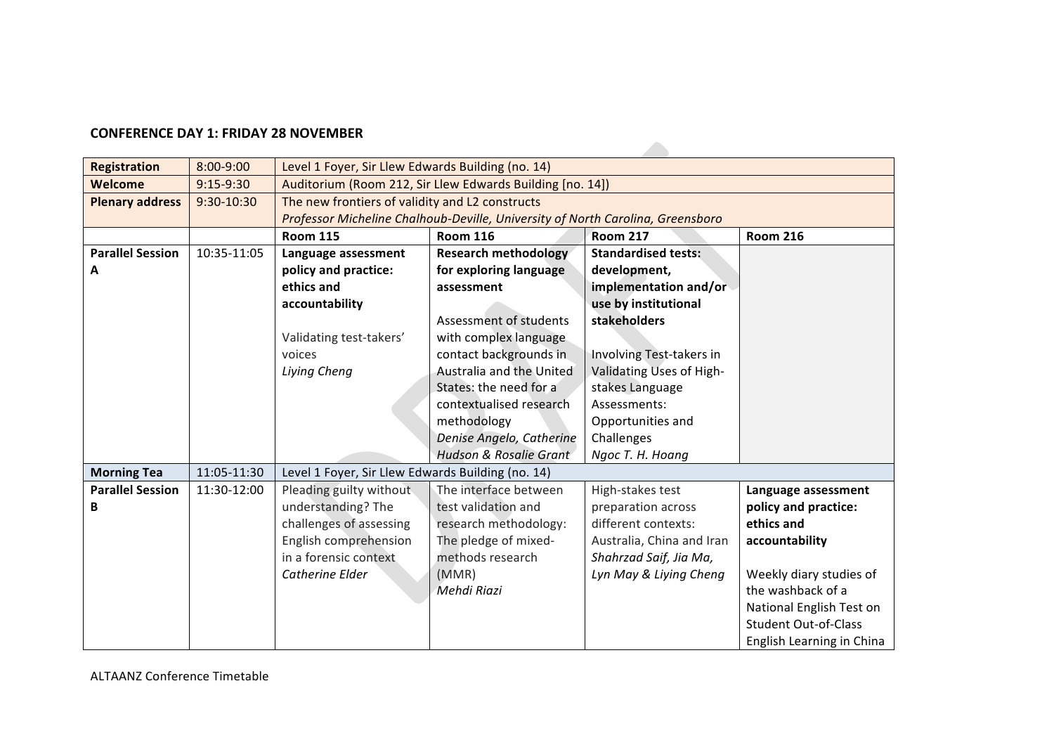## **CONFERENCE DAY 1: FRIDAY 28 NOVEMBER**

| <b>Registration</b>     | 8:00-9:00   | Level 1 Foyer, Sir Llew Edwards Building (no. 14)         |                                                                                |                           |                             |  |  |
|-------------------------|-------------|-----------------------------------------------------------|--------------------------------------------------------------------------------|---------------------------|-----------------------------|--|--|
| Welcome                 | $9:15-9:30$ | Auditorium (Room 212, Sir Llew Edwards Building [no. 14]) |                                                                                |                           |                             |  |  |
| <b>Plenary address</b>  | 9:30-10:30  | The new frontiers of validity and L2 constructs           |                                                                                |                           |                             |  |  |
|                         |             |                                                           | Professor Micheline Chalhoub-Deville, University of North Carolina, Greensboro |                           |                             |  |  |
|                         |             | <b>Room 115</b>                                           | <b>Room 116</b><br><b>Room 217</b><br><b>Room 216</b>                          |                           |                             |  |  |
| <b>Parallel Session</b> | 10:35-11:05 | Language assessment                                       | <b>Standardised tests:</b><br><b>Research methodology</b>                      |                           |                             |  |  |
| A                       |             | policy and practice:                                      | for exploring language                                                         | development,              |                             |  |  |
|                         |             | ethics and                                                | assessment                                                                     | implementation and/or     |                             |  |  |
|                         |             | accountability                                            |                                                                                | use by institutional      |                             |  |  |
|                         |             |                                                           | Assessment of students                                                         | stakeholders              |                             |  |  |
|                         |             | Validating test-takers'                                   | with complex language                                                          |                           |                             |  |  |
|                         |             | voices                                                    | contact backgrounds in                                                         | Involving Test-takers in  |                             |  |  |
|                         |             | Liying Cheng                                              | Australia and the United                                                       | Validating Uses of High-  |                             |  |  |
|                         |             |                                                           | States: the need for a                                                         | stakes Language           |                             |  |  |
|                         |             |                                                           | contextualised research                                                        | Assessments:              |                             |  |  |
|                         |             |                                                           | methodology                                                                    | Opportunities and         |                             |  |  |
|                         |             |                                                           | Denise Angelo, Catherine                                                       | Challenges                |                             |  |  |
|                         |             |                                                           | <b>Hudson &amp; Rosalie Grant</b>                                              | Ngoc T. H. Hoang          |                             |  |  |
| <b>Morning Tea</b>      | 11:05-11:30 | Level 1 Foyer, Sir Llew Edwards Building (no. 14)         |                                                                                |                           |                             |  |  |
| <b>Parallel Session</b> | 11:30-12:00 | Pleading guilty without                                   | The interface between                                                          | High-stakes test          | Language assessment         |  |  |
| B                       |             | understanding? The                                        | test validation and                                                            | preparation across        | policy and practice:        |  |  |
|                         |             | challenges of assessing                                   | research methodology:                                                          | different contexts:       | ethics and                  |  |  |
|                         |             | English comprehension                                     | The pledge of mixed-                                                           | Australia, China and Iran | accountability              |  |  |
|                         |             | in a forensic context                                     | methods research                                                               | Shahrzad Saif, Jia Ma,    |                             |  |  |
|                         |             | Catherine Elder                                           | (MMR)                                                                          | Lyn May & Liying Cheng    | Weekly diary studies of     |  |  |
|                         |             |                                                           | Mehdi Riazi                                                                    |                           | the washback of a           |  |  |
|                         |             |                                                           |                                                                                |                           | National English Test on    |  |  |
|                         |             |                                                           |                                                                                |                           | <b>Student Out-of-Class</b> |  |  |
|                         |             |                                                           |                                                                                |                           | English Learning in China   |  |  |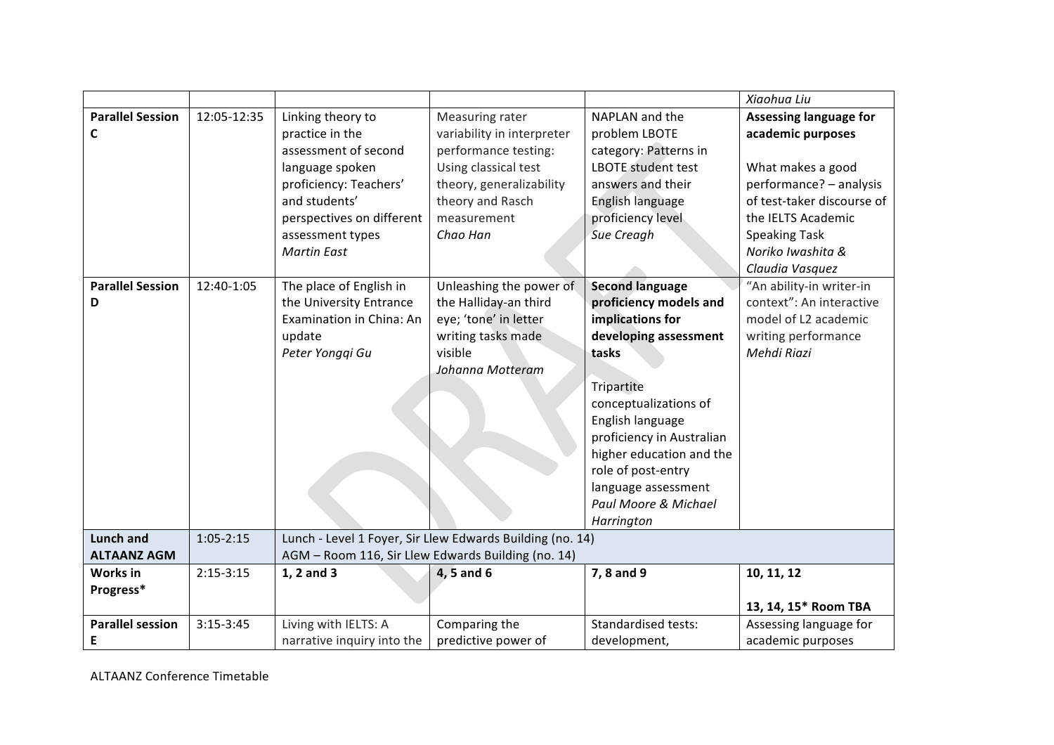|                         |               |                                                    |                                                           |                            | Xiaohua Liu                   |  |
|-------------------------|---------------|----------------------------------------------------|-----------------------------------------------------------|----------------------------|-------------------------------|--|
| <b>Parallel Session</b> | 12:05-12:35   | Linking theory to                                  | Measuring rater                                           | NAPLAN and the             | <b>Assessing language for</b> |  |
| C                       |               | practice in the                                    | variability in interpreter                                | problem LBOTE              | academic purposes             |  |
|                         |               | assessment of second                               | performance testing:                                      | category: Patterns in      |                               |  |
|                         |               | language spoken                                    | Using classical test                                      | LBOTE student test         | What makes a good             |  |
|                         |               | proficiency: Teachers'                             | theory, generalizability                                  | answers and their          | performance? - analysis       |  |
|                         |               | and students'                                      | theory and Rasch                                          | English language           | of test-taker discourse of    |  |
|                         |               | perspectives on different                          | measurement                                               | proficiency level          | the IELTS Academic            |  |
|                         |               | assessment types                                   | Chao Han                                                  | Sue Creagh                 | <b>Speaking Task</b>          |  |
|                         |               | <b>Martin East</b>                                 |                                                           |                            | Noriko Iwashita &             |  |
|                         |               |                                                    |                                                           |                            | Claudia Vasquez               |  |
| <b>Parallel Session</b> | 12:40-1:05    | The place of English in                            | Unleashing the power of                                   | <b>Second language</b>     | "An ability-in writer-in      |  |
| D                       |               | the University Entrance                            | the Halliday-an third                                     | proficiency models and     | context": An interactive      |  |
|                         |               | Examination in China: An                           | eye; 'tone' in letter                                     | implications for           | model of L2 academic          |  |
|                         |               | update                                             | writing tasks made                                        | developing assessment      | writing performance           |  |
|                         |               | Peter Yongqi Gu                                    | visible                                                   | tasks                      | Mehdi Riazi                   |  |
|                         |               |                                                    | Johanna Motteram                                          |                            |                               |  |
|                         |               |                                                    |                                                           | Tripartite                 |                               |  |
|                         |               |                                                    |                                                           | conceptualizations of      |                               |  |
|                         |               |                                                    |                                                           | English language           |                               |  |
|                         |               |                                                    |                                                           | proficiency in Australian  |                               |  |
|                         |               |                                                    |                                                           | higher education and the   |                               |  |
|                         |               |                                                    |                                                           | role of post-entry         |                               |  |
|                         |               |                                                    |                                                           | language assessment        |                               |  |
|                         |               |                                                    |                                                           | Paul Moore & Michael       |                               |  |
|                         |               |                                                    |                                                           | Harrington                 |                               |  |
| <b>Lunch and</b>        | $1:05 - 2:15$ |                                                    | Lunch - Level 1 Foyer, Sir Llew Edwards Building (no. 14) |                            |                               |  |
| <b>ALTAANZ AGM</b>      |               | AGM - Room 116, Sir Llew Edwards Building (no. 14) |                                                           |                            |                               |  |
| Works in                | $2:15-3:15$   | 1, 2 and 3                                         | $4, 5$ and $6$                                            | 7, 8 and 9                 | 10, 11, 12                    |  |
| Progress*               |               |                                                    |                                                           |                            |                               |  |
|                         |               |                                                    |                                                           |                            | 13, 14, 15* Room TBA          |  |
| <b>Parallel session</b> | $3:15-3:45$   | Living with IELTS: A                               | Comparing the                                             | <b>Standardised tests:</b> | Assessing language for        |  |
| Ε                       |               | narrative inquiry into the                         | predictive power of                                       | development,               | academic purposes             |  |

ALTAANZ Conference Timetable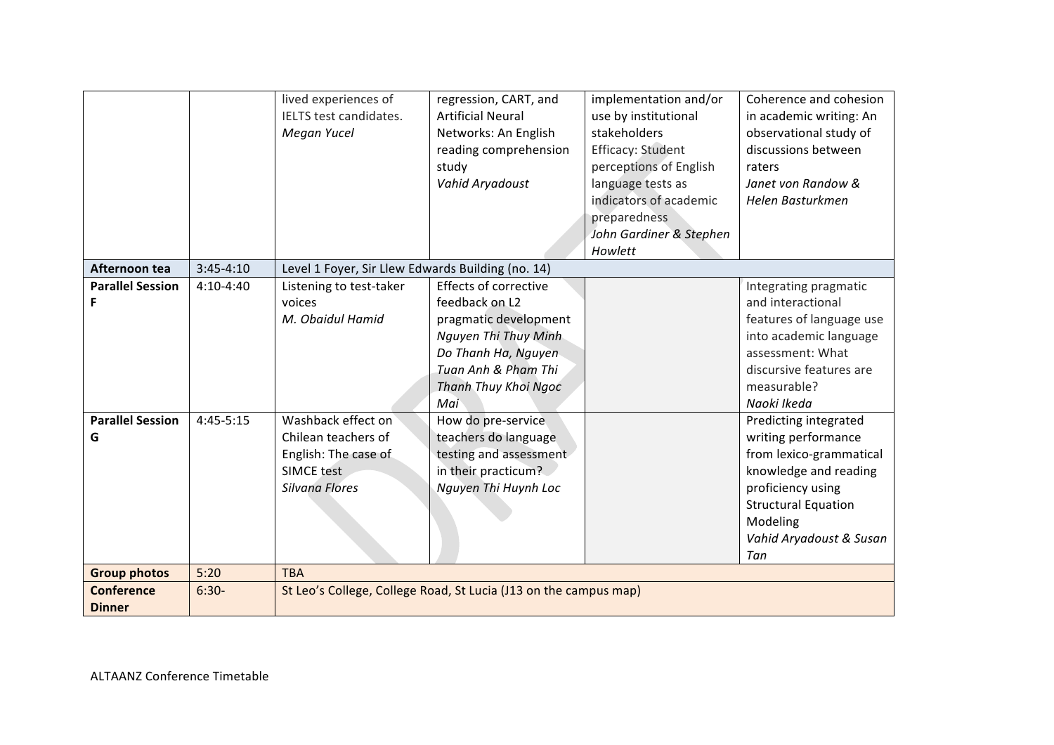|                                    |             | lived experiences of<br>IELTS test candidates.<br>Megan Yucel                                                   | regression, CART, and<br><b>Artificial Neural</b><br>Networks: An English<br>reading comprehension<br>study<br>Vahid Aryadoust                                               | implementation and/or<br>use by institutional<br>stakeholders<br><b>Efficacy: Student</b><br>perceptions of English<br>language tests as<br>indicators of academic<br>preparedness<br>John Gardiner & Stephen<br>Howlett | Coherence and cohesion<br>in academic writing: An<br>observational study of<br>discussions between<br>raters<br>Janet von Randow &<br>Helen Basturkmen                                            |
|------------------------------------|-------------|-----------------------------------------------------------------------------------------------------------------|------------------------------------------------------------------------------------------------------------------------------------------------------------------------------|--------------------------------------------------------------------------------------------------------------------------------------------------------------------------------------------------------------------------|---------------------------------------------------------------------------------------------------------------------------------------------------------------------------------------------------|
| Afternoon tea                      | $3:45-4:10$ | Level 1 Foyer, Sir Llew Edwards Building (no. 14)                                                               |                                                                                                                                                                              |                                                                                                                                                                                                                          |                                                                                                                                                                                                   |
| <b>Parallel Session</b><br>F       | $4:10-4:40$ | Listening to test-taker<br>voices<br>M. Obaidul Hamid                                                           | <b>Effects of corrective</b><br>feedback on L2<br>pragmatic development<br>Nguyen Thi Thuy Minh<br>Do Thanh Ha, Nguyen<br>Tuan Anh & Pham Thi<br>Thanh Thuy Khoi Ngoc<br>Mai |                                                                                                                                                                                                                          | Integrating pragmatic<br>and interactional<br>features of language use<br>into academic language<br>assessment: What<br>discursive features are<br>measurable?<br>Naoki Ikeda                     |
| <b>Parallel Session</b><br>G       | 4:45-5:15   | Washback effect on<br>Chilean teachers of<br>English: The case of<br><b>SIMCE test</b><br><b>Silvana Flores</b> | How do pre-service<br>teachers do language<br>testing and assessment<br>in their practicum?<br>Nguyen Thi Huynh Loc                                                          |                                                                                                                                                                                                                          | Predicting integrated<br>writing performance<br>from lexico-grammatical<br>knowledge and reading<br>proficiency using<br><b>Structural Equation</b><br>Modeling<br>Vahid Aryadoust & Susan<br>Tan |
| <b>Group photos</b>                | 5:20        | <b>TBA</b>                                                                                                      |                                                                                                                                                                              |                                                                                                                                                                                                                          |                                                                                                                                                                                                   |
| <b>Conference</b><br><b>Dinner</b> | $6:30-$     | St Leo's College, College Road, St Lucia (J13 on the campus map)                                                |                                                                                                                                                                              |                                                                                                                                                                                                                          |                                                                                                                                                                                                   |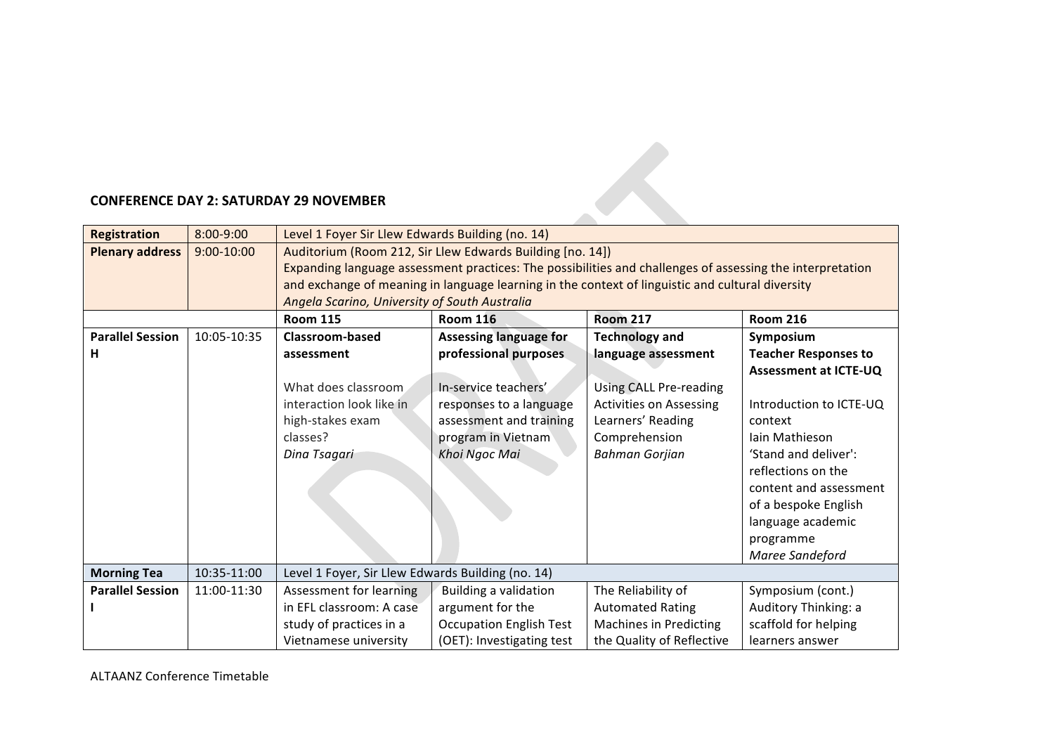## **CONFERENCE DAY 2: SATURDAY 29 NOVEMBER**

| <b>CONFERENCE DAY 2: SATURDAY 29 NOVEMBER</b> |             |                                                                                                                                                                                                                                                                                                                             |                                                                                                                                                                             |                                                                                                                                                                                |                                                                                                                                                                                                                                                                                       |  |  |
|-----------------------------------------------|-------------|-----------------------------------------------------------------------------------------------------------------------------------------------------------------------------------------------------------------------------------------------------------------------------------------------------------------------------|-----------------------------------------------------------------------------------------------------------------------------------------------------------------------------|--------------------------------------------------------------------------------------------------------------------------------------------------------------------------------|---------------------------------------------------------------------------------------------------------------------------------------------------------------------------------------------------------------------------------------------------------------------------------------|--|--|
| <b>Registration</b>                           | 8:00-9:00   | Level 1 Foyer Sir Llew Edwards Building (no. 14)                                                                                                                                                                                                                                                                            |                                                                                                                                                                             |                                                                                                                                                                                |                                                                                                                                                                                                                                                                                       |  |  |
| <b>Plenary address</b>                        | 9:00-10:00  | Auditorium (Room 212, Sir Llew Edwards Building [no. 14])<br>Expanding language assessment practices: The possibilities and challenges of assessing the interpretation<br>and exchange of meaning in language learning in the context of linguistic and cultural diversity<br>Angela Scarino, University of South Australia |                                                                                                                                                                             |                                                                                                                                                                                |                                                                                                                                                                                                                                                                                       |  |  |
|                                               |             | <b>Room 115</b>                                                                                                                                                                                                                                                                                                             | <b>Room 116</b>                                                                                                                                                             | <b>Room 217</b>                                                                                                                                                                | <b>Room 216</b>                                                                                                                                                                                                                                                                       |  |  |
| <b>Parallel Session</b><br>н                  | 10:05-10:35 | Classroom-based<br>assessment<br>What does classroom<br>interaction look like in<br>high-stakes exam<br>classes?<br>Dina Tsagari                                                                                                                                                                                            | <b>Assessing language for</b><br>professional purposes<br>In-service teachers'<br>responses to a language<br>assessment and training<br>program in Vietnam<br>Khoi Ngoc Mai | <b>Technology and</b><br>language assessment<br><b>Using CALL Pre-reading</b><br><b>Activities on Assessing</b><br>Learners' Reading<br>Comprehension<br><b>Bahman Gorjian</b> | Symposium<br><b>Teacher Responses to</b><br><b>Assessment at ICTE-UQ</b><br>Introduction to ICTE-UQ<br>context<br>Iain Mathieson<br>'Stand and deliver':<br>reflections on the<br>content and assessment<br>of a bespoke English<br>language academic<br>programme<br>Maree Sandeford |  |  |
| <b>Morning Tea</b>                            | 10:35-11:00 | Level 1 Foyer, Sir Llew Edwards Building (no. 14)                                                                                                                                                                                                                                                                           |                                                                                                                                                                             |                                                                                                                                                                                |                                                                                                                                                                                                                                                                                       |  |  |
| <b>Parallel Session</b>                       | 11:00-11:30 | Assessment for learning<br>in EFL classroom: A case<br>study of practices in a<br>Vietnamese university                                                                                                                                                                                                                     | <b>Building a validation</b><br>argument for the<br><b>Occupation English Test</b><br>(OET): Investigating test                                                             | The Reliability of<br><b>Automated Rating</b><br><b>Machines in Predicting</b><br>the Quality of Reflective                                                                    | Symposium (cont.)<br>Auditory Thinking: a<br>scaffold for helping<br>learners answer                                                                                                                                                                                                  |  |  |

ALTAANZ Conference Timetable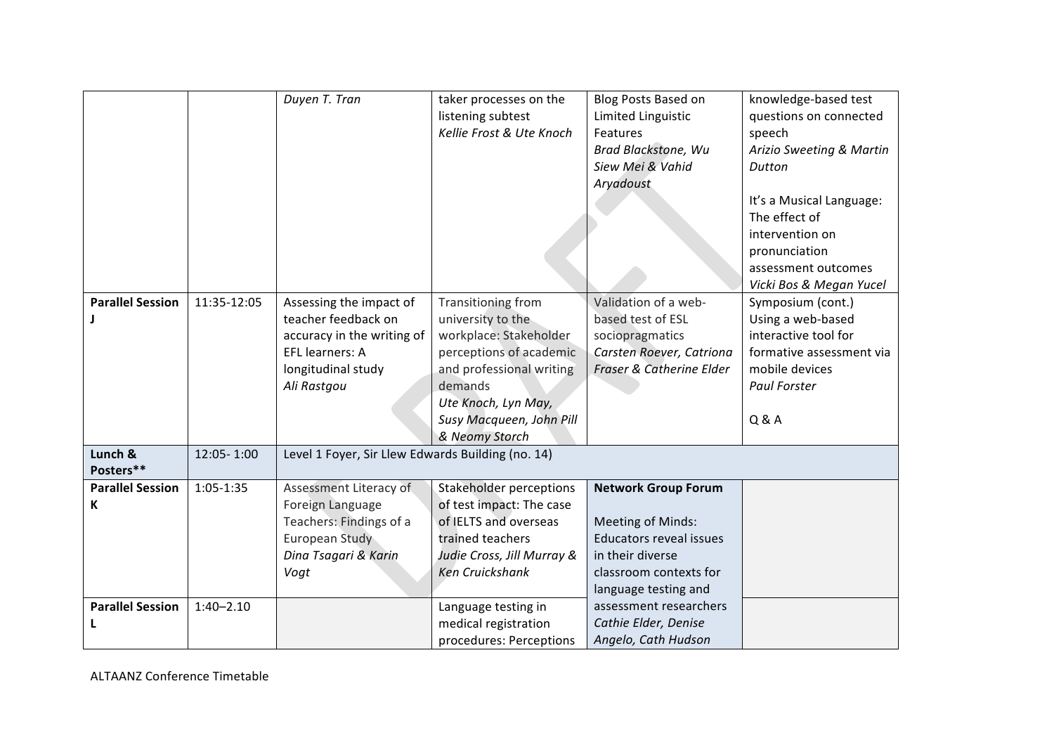|                              |               | Duyen T. Tran                                                                                                                        | taker processes on the<br>listening subtest<br>Kellie Frost & Ute Knoch                                                                                                                                  | Blog Posts Based on<br>Limited Linguistic<br>Features<br>Brad Blackstone, Wu<br>Siew Mei & Vahid<br>Aryadoust                                                  | knowledge-based test<br>questions on connected<br>speech<br>Arizio Sweeting & Martin<br>Dutton<br>It's a Musical Language:<br>The effect of<br>intervention on<br>pronunciation<br>assessment outcomes<br>Vicki Bos & Megan Yucel |
|------------------------------|---------------|--------------------------------------------------------------------------------------------------------------------------------------|----------------------------------------------------------------------------------------------------------------------------------------------------------------------------------------------------------|----------------------------------------------------------------------------------------------------------------------------------------------------------------|-----------------------------------------------------------------------------------------------------------------------------------------------------------------------------------------------------------------------------------|
| <b>Parallel Session</b>      | 11:35-12:05   | Assessing the impact of<br>teacher feedback on<br>accuracy in the writing of<br>EFL learners: A<br>longitudinal study<br>Ali Rastgou | Transitioning from<br>university to the<br>workplace: Stakeholder<br>perceptions of academic<br>and professional writing<br>demands<br>Ute Knoch, Lyn May,<br>Susy Macqueen, John Pill<br>& Neomy Storch | Validation of a web-<br>based test of ESL<br>sociopragmatics<br>Carsten Roever, Catriona<br>Fraser & Catherine Elder                                           | Symposium (cont.)<br>Using a web-based<br>interactive tool for<br>formative assessment via<br>mobile devices<br><b>Paul Forster</b><br>Q & A                                                                                      |
| Lunch &<br>Posters**         | 12:05-1:00    | Level 1 Foyer, Sir Llew Edwards Building (no. 14)                                                                                    |                                                                                                                                                                                                          |                                                                                                                                                                |                                                                                                                                                                                                                                   |
| <b>Parallel Session</b><br>К | $1:05-1:35$   | Assessment Literacy of<br>Foreign Language<br>Teachers: Findings of a<br>European Study<br>Dina Tsagari & Karin<br>Vogt              | Stakeholder perceptions<br>of test impact: The case<br>of IELTS and overseas<br>trained teachers<br>Judie Cross, Jill Murray &<br><b>Ken Cruickshank</b>                                                 | <b>Network Group Forum</b><br><b>Meeting of Minds:</b><br><b>Educators reveal issues</b><br>in their diverse<br>classroom contexts for<br>language testing and |                                                                                                                                                                                                                                   |
| <b>Parallel Session</b>      | $1:40 - 2.10$ |                                                                                                                                      | Language testing in<br>medical registration<br>procedures: Perceptions                                                                                                                                   | assessment researchers<br>Cathie Elder, Denise<br>Angelo, Cath Hudson                                                                                          |                                                                                                                                                                                                                                   |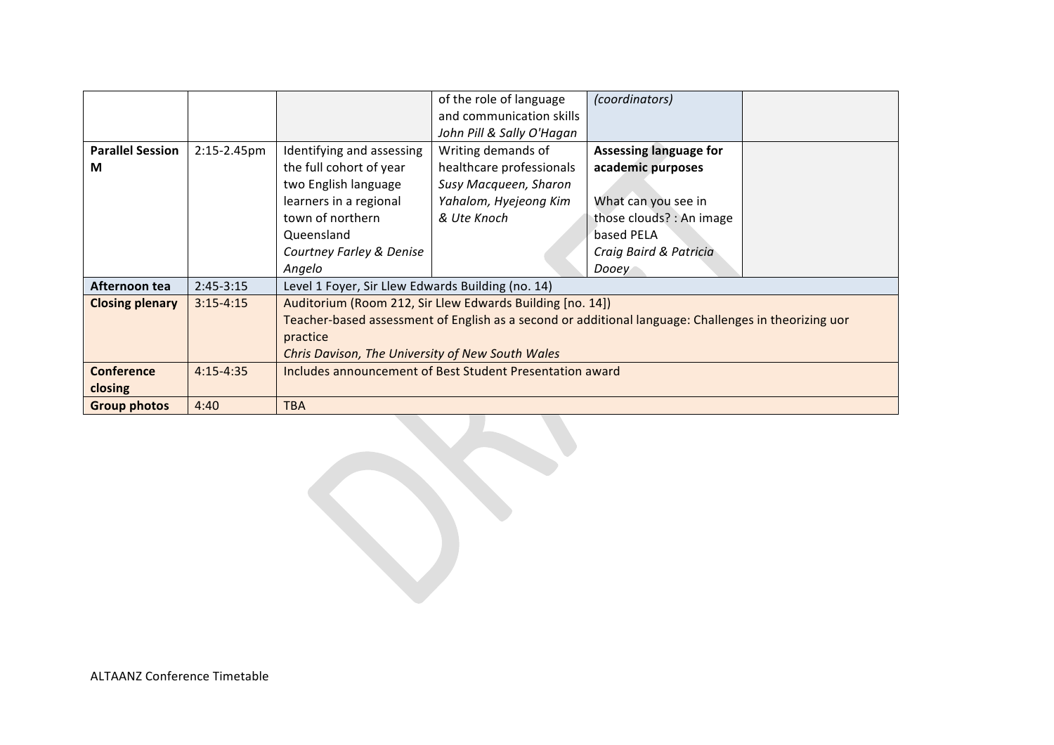|                         |               |                                                                                                      | of the role of language                                   | (coordinators)                |  |
|-------------------------|---------------|------------------------------------------------------------------------------------------------------|-----------------------------------------------------------|-------------------------------|--|
|                         |               |                                                                                                      | and communication skills                                  |                               |  |
|                         |               |                                                                                                      | John Pill & Sally O'Hagan                                 |                               |  |
| <b>Parallel Session</b> | 2:15-2.45pm   | Identifying and assessing                                                                            | Writing demands of                                        | <b>Assessing language for</b> |  |
| M                       |               | the full cohort of year                                                                              | healthcare professionals                                  | academic purposes             |  |
|                         |               | two English language                                                                                 | Susy Macqueen, Sharon                                     |                               |  |
|                         |               | learners in a regional                                                                               | Yahalom, Hyejeong Kim                                     | What can you see in           |  |
|                         |               | town of northern                                                                                     | & Ute Knoch                                               | those clouds? : An image      |  |
|                         |               | Queensland                                                                                           |                                                           | based PELA                    |  |
|                         |               | Courtney Farley & Denise                                                                             |                                                           | Craig Baird & Patricia        |  |
|                         |               | Angelo                                                                                               |                                                           | Dooey                         |  |
| Afternoon tea           | $2:45-3:15$   | Level 1 Foyer, Sir Llew Edwards Building (no. 14)                                                    |                                                           |                               |  |
| <b>Closing plenary</b>  | $3:15 - 4:15$ |                                                                                                      | Auditorium (Room 212, Sir Llew Edwards Building [no. 14]) |                               |  |
|                         |               | Teacher-based assessment of English as a second or additional language: Challenges in theorizing uor |                                                           |                               |  |
|                         |               | practice                                                                                             |                                                           |                               |  |
|                         |               | Chris Davison, The University of New South Wales                                                     |                                                           |                               |  |
| <b>Conference</b>       | $4:15 - 4:35$ | Includes announcement of Best Student Presentation award                                             |                                                           |                               |  |
| closing                 |               |                                                                                                      |                                                           |                               |  |
| <b>Group photos</b>     | 4:40          | <b>TBA</b>                                                                                           |                                                           |                               |  |